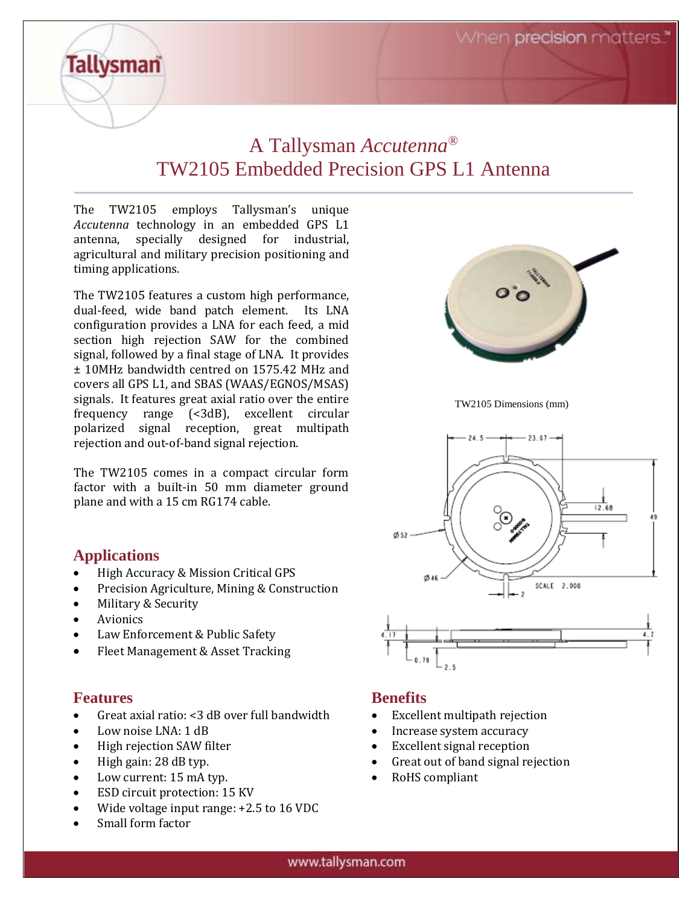When precision matters.

## A Tallysman *Accutenna®* TW2105 Embedded Precision GPS L1 Antenna

The TW2105 employs Tallysman's unique *Accutenna* technology in an embedded GPS L1 antenna, specially designed for industrial, agricultural and military precision positioning and timing applications.

The TW2105 features a custom high performance, dual-feed, wide band patch element. Its LNA configuration provides a LNA for each feed, a mid section high rejection SAW for the combined signal, followed by a final stage of LNA. It provides ± 10MHz bandwidth centred on 1575.42 MHz and covers all GPS L1, and SBAS (WAAS/EGNOS/MSAS) signals. It features great axial ratio over the entire frequency range (<3dB), excellent circular polarized signal reception, great multipath rejection and out-of-band signal rejection.

The TW2105 comes in a compact circular form factor with a built-in 50 mm diameter ground plane and with a 15 cm RG174 cable.

### **Applications**

**Tallysman** 

- High Accuracy & Mission Critical GPS
- Precision Agriculture, Mining & Construction
- Military & Security
- Avionics
- Law Enforcement & Public Safety
- Fleet Management & Asset Tracking

#### **Features**

- Great axial ratio: <3 dB over full bandwidth
- Low noise LNA: 1 dB
- High rejection SAW filter
- High gain: 28 dB typ.
- Low current: 15 mA typ.
- ESD circuit protection: 15 KV
- Wide voltage input range: +2.5 to 16 VDC
- Small form factor



TW2105 Dimensions (mm)



#### **Benefits**

- Excellent multipath rejection
- Increase system accuracy
- Excellent signal reception
- Great out of band signal rejection
- RoHS compliant